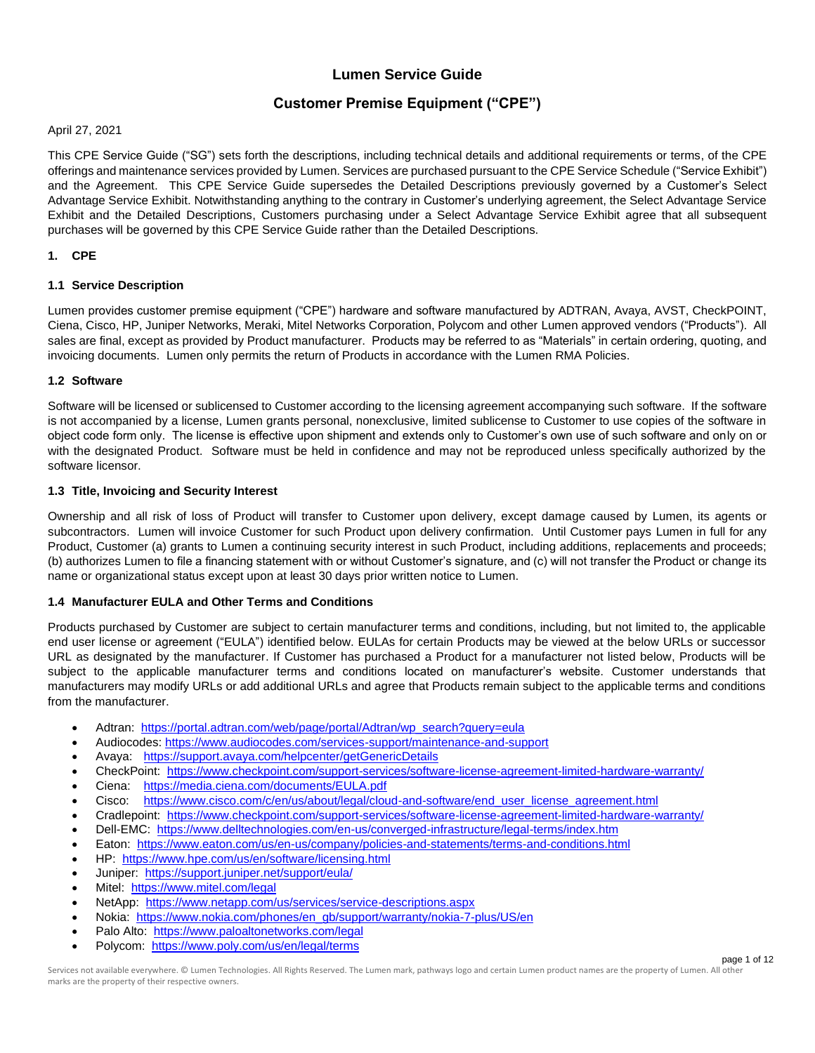# **Lumen Service Guide**

# **Customer Premise Equipment ("CPE")**

April 27, 2021

This CPE Service Guide ("SG") sets forth the descriptions, including technical details and additional requirements or terms, of the CPE offerings and maintenance services provided by Lumen. Services are purchased pursuant to the CPE Service Schedule ("Service Exhibit") and the Agreement. This CPE Service Guide supersedes the Detailed Descriptions previously governed by a Customer's Select Advantage Service Exhibit. Notwithstanding anything to the contrary in Customer's underlying agreement, the Select Advantage Service Exhibit and the Detailed Descriptions, Customers purchasing under a Select Advantage Service Exhibit agree that all subsequent purchases will be governed by this CPE Service Guide rather than the Detailed Descriptions.

# **1. CPE**

# **1.1 Service Description**

Lumen provides customer premise equipment ("CPE") hardware and software manufactured by ADTRAN, Avaya, AVST, CheckPOINT, Ciena, Cisco, HP, Juniper Networks, Meraki, Mitel Networks Corporation, Polycom and other Lumen approved vendors ("Products"). All sales are final, except as provided by Product manufacturer. Products may be referred to as "Materials" in certain ordering, quoting, and invoicing documents. Lumen only permits the return of Products in accordance with the Lumen RMA Policies.

# **1.2 Software**

Software will be licensed or sublicensed to Customer according to the licensing agreement accompanying such software. If the software is not accompanied by a license, Lumen grants personal, nonexclusive, limited sublicense to Customer to use copies of the software in object code form only. The license is effective upon shipment and extends only to Customer's own use of such software and only on or with the designated Product. Software must be held in confidence and may not be reproduced unless specifically authorized by the software licensor.

# **1.3 Title, Invoicing and Security Interest**

Ownership and all risk of loss of Product will transfer to Customer upon delivery, except damage caused by Lumen, its agents or subcontractors. Lumen will invoice Customer for such Product upon delivery confirmation. Until Customer pays Lumen in full for any Product, Customer (a) grants to Lumen a continuing security interest in such Product, including additions, replacements and proceeds; (b) authorizes Lumen to file a financing statement with or without Customer's signature, and (c) will not transfer the Product or change its name or organizational status except upon at least 30 days prior written notice to Lumen.

#### **1.4 Manufacturer EULA and Other Terms and Conditions**

Products purchased by Customer are subject to certain manufacturer terms and conditions, including, but not limited to, the applicable end user license or agreement ("EULA") identified below. EULAs for certain Products may be viewed at the below URLs or successor URL as designated by the manufacturer. If Customer has purchased a Product for a manufacturer not listed below, Products will be subject to the applicable manufacturer terms and conditions located on manufacturer's website. Customer understands that manufacturers may modify URLs or add additional URLs and agree that Products remain subject to the applicable terms and conditions from the manufacturer.

- Adtran: [https://portal.adtran.com/web/page/portal/Adtran/wp\\_search?query=eula](https://portal.adtran.com/web/page/portal/Adtran/wp_search?query=eula)
- Audiocodes:<https://www.audiocodes.com/services-support/maintenance-and-support>
- Avaya: <https://support.avaya.com/helpcenter/getGenericDetails>
- CheckPoint:<https://www.checkpoint.com/support-services/software-license-agreement-limited-hardware-warranty/>
- Ciena: <https://media.ciena.com/documents/EULA.pdf>
- Cisco: [https://www.cisco.com/c/en/us/about/legal/cloud-and-software/end\\_user\\_license\\_agreement.html](https://www.cisco.com/c/en/us/about/legal/cloud-and-software/end_user_license_agreement.html)
- Cradlepoint:<https://www.checkpoint.com/support-services/software-license-agreement-limited-hardware-warranty/>
- Dell-EMC: <https://www.delltechnologies.com/en-us/converged-infrastructure/legal-terms/index.htm>
- Eaton: <https://www.eaton.com/us/en-us/company/policies-and-statements/terms-and-conditions.html>
- HP: <https://www.hpe.com/us/en/software/licensing.html>
- Juniper: <https://support.juniper.net/support/eula/>
- Mitel:<https://www.mitel.com/legal>
- NetApp:<https://www.netapp.com/us/services/service-descriptions.aspx>
- Nokia: [https://www.nokia.com/phones/en\\_gb/support/warranty/nokia-7-plus/US/en](https://www.nokia.com/phones/en_gb/support/warranty/nokia-7-plus/US/en)
- Palo Alto:<https://www.paloaltonetworks.com/legal>
- Polycom: <https://www.poly.com/us/en/legal/terms>

Services not available everywhere. © Lumen Technologies. All Rights Reserved. The Lumen mark, pathways logo and certain Lumen product names are the property of Lumen. All other marks are the property of their respective owners.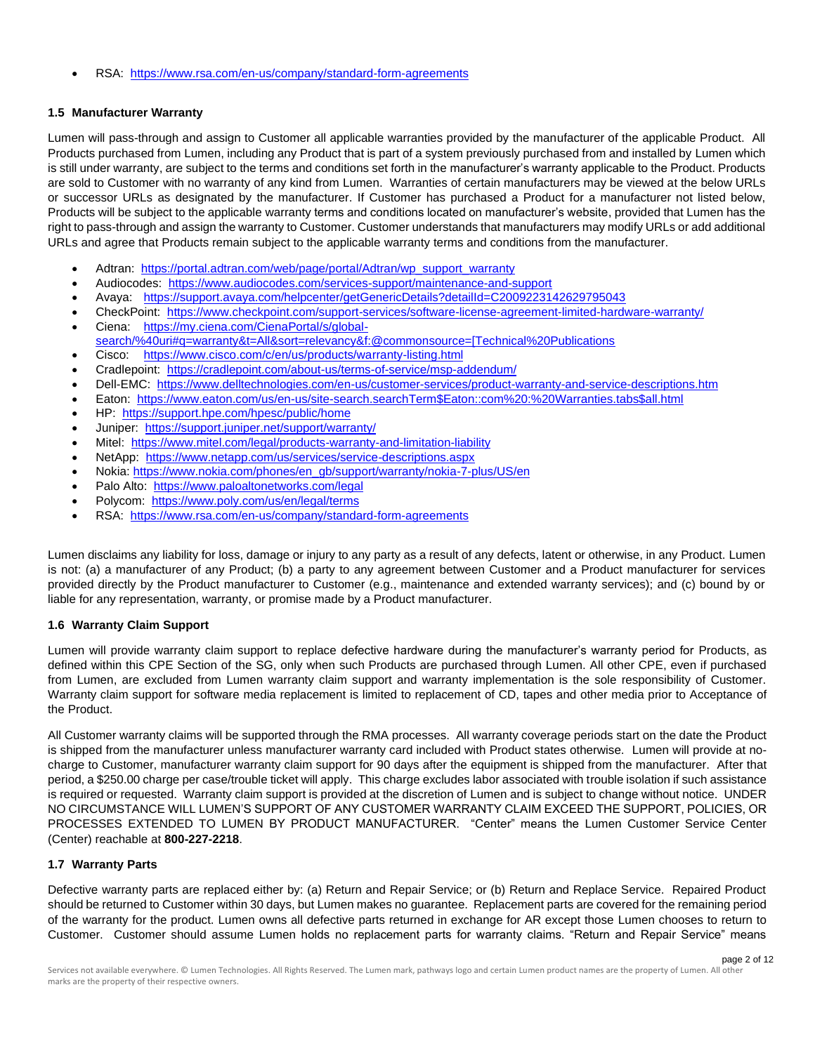• RSA: <https://www.rsa.com/en-us/company/standard-form-agreements>

# **1.5 Manufacturer Warranty**

Lumen will pass-through and assign to Customer all applicable warranties provided by the manufacturer of the applicable Product. All Products purchased from Lumen, including any Product that is part of a system previously purchased from and installed by Lumen which is still under warranty, are subject to the terms and conditions set forth in the manufacturer's warranty applicable to the Product. Products are sold to Customer with no warranty of any kind from Lumen. Warranties of certain manufacturers may be viewed at the below URLs or successor URLs as designated by the manufacturer. If Customer has purchased a Product for a manufacturer not listed below, Products will be subject to the applicable warranty terms and conditions located on manufacturer's website, provided that Lumen has the right to pass-through and assign the warranty to Customer. Customer understands that manufacturers may modify URLs or add additional URLs and agree that Products remain subject to the applicable warranty terms and conditions from the manufacturer.

- Adtran: [https://portal.adtran.com/web/page/portal/Adtran/wp\\_support\\_warranty](https://portal.adtran.com/web/page/portal/Adtran/wp_support_warranty)
- Audiocodes: <https://www.audiocodes.com/services-support/maintenance-and-support>
- Avaya: <https://support.avaya.com/helpcenter/getGenericDetails?detailId=C2009223142629795043>
- CheckPoint:<https://www.checkpoint.com/support-services/software-license-agreement-limited-hardware-warranty/>
- Ciena: [https://my.ciena.com/CienaPortal/s/global](https://my.ciena.com/CienaPortal/s/global-search/%40uri#q=warranty&t=All&sort=relevancy&f:@commonsource=[Technical%20Publications)[search/%40uri#q=warranty&t=All&sort=relevancy&f:@commonsource=\[Technical%20Publications](https://my.ciena.com/CienaPortal/s/global-search/%40uri#q=warranty&t=All&sort=relevancy&f:@commonsource=[Technical%20Publications)
- Cisco: <https://www.cisco.com/c/en/us/products/warranty-listing.html>
- Cradlepoint:<https://cradlepoint.com/about-us/terms-of-service/msp-addendum/>
- Dell-EMC: <https://www.delltechnologies.com/en-us/customer-services/product-warranty-and-service-descriptions.htm>
- Eaton: [https://www.eaton.com/us/en-us/site-search.searchTerm\\$Eaton::com%20:%20Warranties.tabs\\$all.html](https://www.eaton.com/us/en-us/site-search.searchTerm$Eaton::com%20:%20Warranties.tabs$all.html)
- HP: <https://support.hpe.com/hpesc/public/home>
- Juniper: <https://support.juniper.net/support/warranty/>
- Mitel:<https://www.mitel.com/legal/products-warranty-and-limitation-liability>
- NetApp:<https://www.netapp.com/us/services/service-descriptions.aspx>
- Nokia: [https://www.nokia.com/phones/en\\_gb/support/warranty/nokia-7-plus/US/en](https://www.nokia.com/phones/en_gb/support/warranty/nokia-7-plus/US/en)
- Palo Alto:<https://www.paloaltonetworks.com/legal>
- Polycom: <https://www.poly.com/us/en/legal/terms>
- RSA: <https://www.rsa.com/en-us/company/standard-form-agreements>

Lumen disclaims any liability for loss, damage or injury to any party as a result of any defects, latent or otherwise, in any Product. Lumen is not: (a) a manufacturer of any Product; (b) a party to any agreement between Customer and a Product manufacturer for services provided directly by the Product manufacturer to Customer (e.g., maintenance and extended warranty services); and (c) bound by or liable for any representation, warranty, or promise made by a Product manufacturer.

# **1.6 Warranty Claim Support**

Lumen will provide warranty claim support to replace defective hardware during the manufacturer's warranty period for Products, as defined within this CPE Section of the SG, only when such Products are purchased through Lumen. All other CPE, even if purchased from Lumen, are excluded from Lumen warranty claim support and warranty implementation is the sole responsibility of Customer. Warranty claim support for software media replacement is limited to replacement of CD, tapes and other media prior to Acceptance of the Product.

All Customer warranty claims will be supported through the RMA processes. All warranty coverage periods start on the date the Product is shipped from the manufacturer unless manufacturer warranty card included with Product states otherwise. Lumen will provide at nocharge to Customer, manufacturer warranty claim support for 90 days after the equipment is shipped from the manufacturer. After that period, a \$250.00 charge per case/trouble ticket will apply. This charge excludes labor associated with trouble isolation if such assistance is required or requested. Warranty claim support is provided at the discretion of Lumen and is subject to change without notice. UNDER NO CIRCUMSTANCE WILL LUMEN'S SUPPORT OF ANY CUSTOMER WARRANTY CLAIM EXCEED THE SUPPORT, POLICIES, OR PROCESSES EXTENDED TO LUMEN BY PRODUCT MANUFACTURER. "Center" means the Lumen Customer Service Center (Center) reachable at **800-227-2218**.

# **1.7 Warranty Parts**

Defective warranty parts are replaced either by: (a) Return and Repair Service; or (b) Return and Replace Service. Repaired Product should be returned to Customer within 30 days, but Lumen makes no guarantee. Replacement parts are covered for the remaining period of the warranty for the product. Lumen owns all defective parts returned in exchange for AR except those Lumen chooses to return to Customer. Customer should assume Lumen holds no replacement parts for warranty claims. "Return and Repair Service" means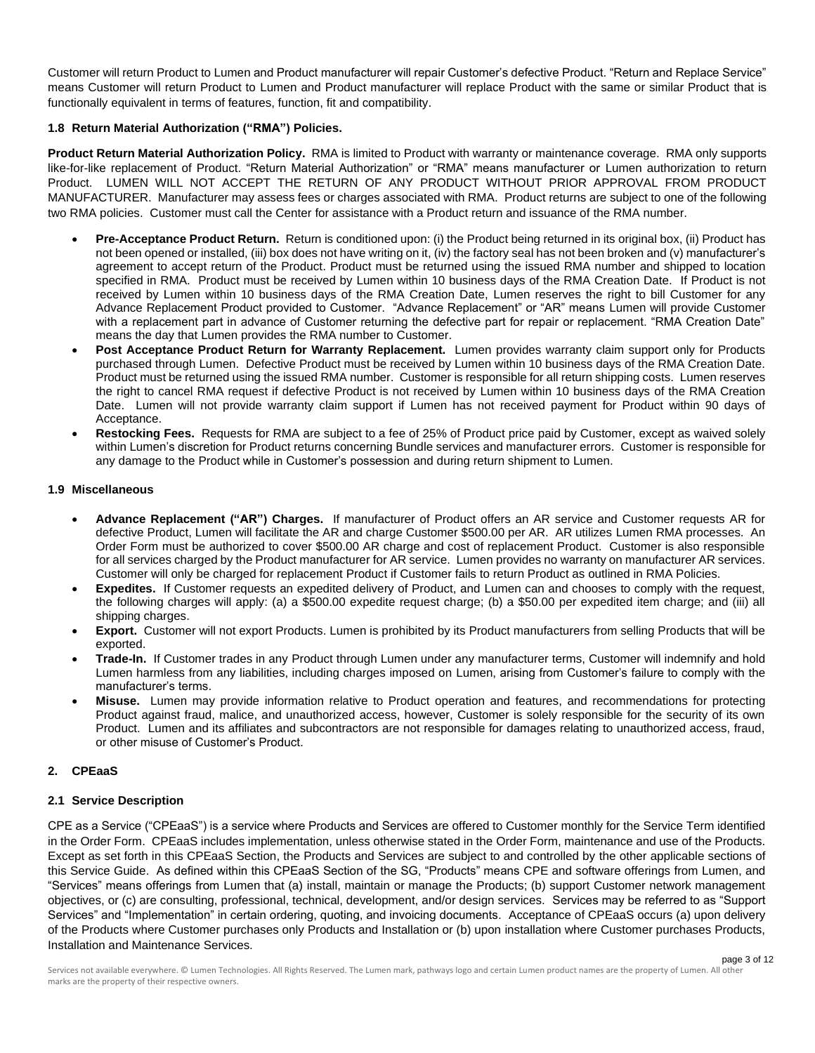Customer will return Product to Lumen and Product manufacturer will repair Customer's defective Product. "Return and Replace Service" means Customer will return Product to Lumen and Product manufacturer will replace Product with the same or similar Product that is functionally equivalent in terms of features, function, fit and compatibility.

# **1.8 Return Material Authorization ("RMA") Policies.**

**Product Return Material Authorization Policy.** RMA is limited to Product with warranty or maintenance coverage. RMA only supports like-for-like replacement of Product. "Return Material Authorization" or "RMA" means manufacturer or Lumen authorization to return Product. LUMEN WILL NOT ACCEPT THE RETURN OF ANY PRODUCT WITHOUT PRIOR APPROVAL FROM PRODUCT MANUFACTURER. Manufacturer may assess fees or charges associated with RMA. Product returns are subject to one of the following two RMA policies. Customer must call the Center for assistance with a Product return and issuance of the RMA number.

- **Pre-Acceptance Product Return.** Return is conditioned upon: (i) the Product being returned in its original box, (ii) Product has not been opened or installed, (iii) box does not have writing on it, (iv) the factory seal has not been broken and (v) manufacturer's agreement to accept return of the Product. Product must be returned using the issued RMA number and shipped to location specified in RMA. Product must be received by Lumen within 10 business days of the RMA Creation Date. If Product is not received by Lumen within 10 business days of the RMA Creation Date, Lumen reserves the right to bill Customer for any Advance Replacement Product provided to Customer. "Advance Replacement" or "AR" means Lumen will provide Customer with a replacement part in advance of Customer returning the defective part for repair or replacement. "RMA Creation Date" means the day that Lumen provides the RMA number to Customer.
- **Post Acceptance Product Return for Warranty Replacement.** Lumen provides warranty claim support only for Products purchased through Lumen. Defective Product must be received by Lumen within 10 business days of the RMA Creation Date. Product must be returned using the issued RMA number. Customer is responsible for all return shipping costs. Lumen reserves the right to cancel RMA request if defective Product is not received by Lumen within 10 business days of the RMA Creation Date. Lumen will not provide warranty claim support if Lumen has not received payment for Product within 90 days of Acceptance.
- **Restocking Fees.** Requests for RMA are subject to a fee of 25% of Product price paid by Customer, except as waived solely within Lumen's discretion for Product returns concerning Bundle services and manufacturer errors. Customer is responsible for any damage to the Product while in Customer's possession and during return shipment to Lumen.

### **1.9 Miscellaneous**

- **Advance Replacement ("AR") Charges.** If manufacturer of Product offers an AR service and Customer requests AR for defective Product, Lumen will facilitate the AR and charge Customer \$500.00 per AR. AR utilizes Lumen RMA processes. An Order Form must be authorized to cover \$500.00 AR charge and cost of replacement Product. Customer is also responsible for all services charged by the Product manufacturer for AR service. Lumen provides no warranty on manufacturer AR services. Customer will only be charged for replacement Product if Customer fails to return Product as outlined in RMA Policies.
- **Expedites.** If Customer requests an expedited delivery of Product, and Lumen can and chooses to comply with the request, the following charges will apply: (a) a \$500.00 expedite request charge; (b) a \$50.00 per expedited item charge; and (iii) all shipping charges.
- **Export.** Customer will not export Products. Lumen is prohibited by its Product manufacturers from selling Products that will be exported.
- **Trade-In.** If Customer trades in any Product through Lumen under any manufacturer terms, Customer will indemnify and hold Lumen harmless from any liabilities, including charges imposed on Lumen, arising from Customer's failure to comply with the manufacturer's terms.
- **Misuse.** Lumen may provide information relative to Product operation and features, and recommendations for protecting Product against fraud, malice, and unauthorized access, however, Customer is solely responsible for the security of its own Product. Lumen and its affiliates and subcontractors are not responsible for damages relating to unauthorized access, fraud, or other misuse of Customer's Product.

# **2. CPEaaS**

# **2.1 Service Description**

CPE as a Service ("CPEaaS") is a service where Products and Services are offered to Customer monthly for the Service Term identified in the Order Form. CPEaaS includes implementation, unless otherwise stated in the Order Form, maintenance and use of the Products. Except as set forth in this CPEaaS Section, the Products and Services are subject to and controlled by the other applicable sections of this Service Guide. As defined within this CPEaaS Section of the SG, "Products" means CPE and software offerings from Lumen, and "Services" means offerings from Lumen that (a) install, maintain or manage the Products; (b) support Customer network management objectives, or (c) are consulting, professional, technical, development, and/or design services. Services may be referred to as "Support Services" and "Implementation" in certain ordering, quoting, and invoicing documents. Acceptance of CPEaaS occurs (a) upon delivery of the Products where Customer purchases only Products and Installation or (b) upon installation where Customer purchases Products, Installation and Maintenance Services.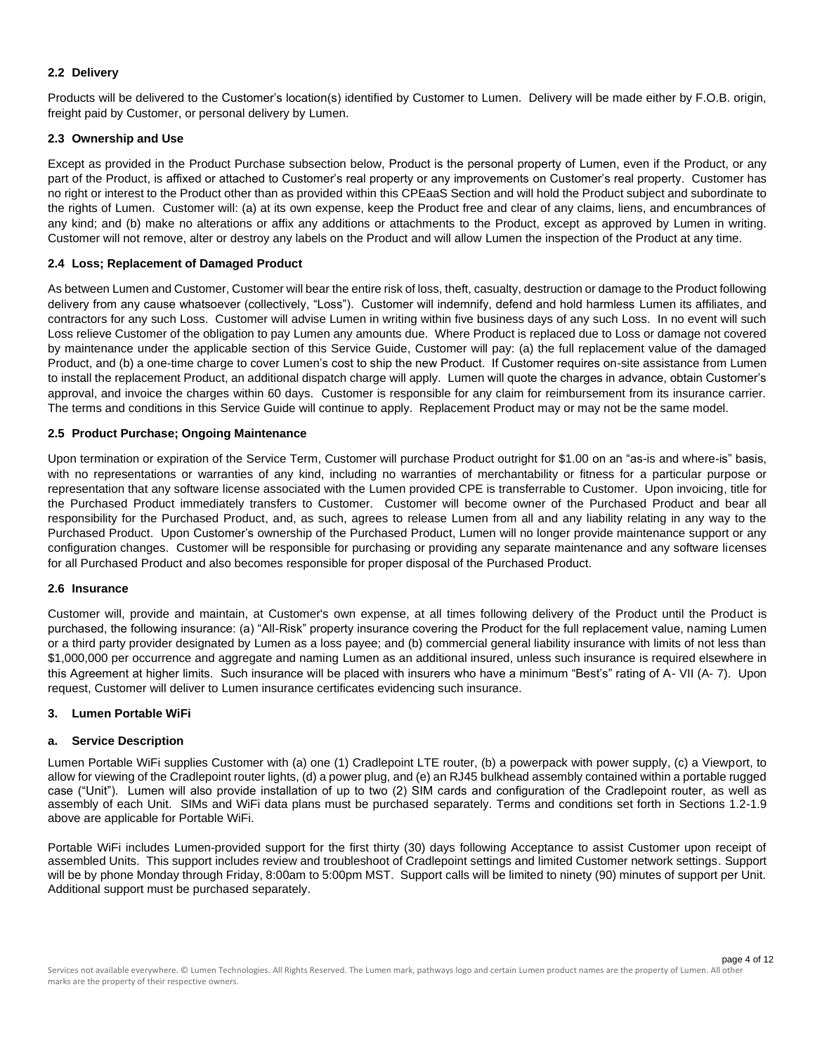## **2.2 Delivery**

Products will be delivered to the Customer's location(s) identified by Customer to Lumen. Delivery will be made either by F.O.B. origin, freight paid by Customer, or personal delivery by Lumen.

## **2.3 Ownership and Use**

Except as provided in the Product Purchase subsection below, Product is the personal property of Lumen, even if the Product, or any part of the Product, is affixed or attached to Customer's real property or any improvements on Customer's real property. Customer has no right or interest to the Product other than as provided within this CPEaaS Section and will hold the Product subject and subordinate to the rights of Lumen. Customer will: (a) at its own expense, keep the Product free and clear of any claims, liens, and encumbrances of any kind; and (b) make no alterations or affix any additions or attachments to the Product, except as approved by Lumen in writing. Customer will not remove, alter or destroy any labels on the Product and will allow Lumen the inspection of the Product at any time.

### **2.4 Loss; Replacement of Damaged Product**

As between Lumen and Customer, Customer will bear the entire risk of loss, theft, casualty, destruction or damage to the Product following delivery from any cause whatsoever (collectively, "Loss"). Customer will indemnify, defend and hold harmless Lumen its affiliates, and contractors for any such Loss. Customer will advise Lumen in writing within five business days of any such Loss. In no event will such Loss relieve Customer of the obligation to pay Lumen any amounts due. Where Product is replaced due to Loss or damage not covered by maintenance under the applicable section of this Service Guide, Customer will pay: (a) the full replacement value of the damaged Product, and (b) a one-time charge to cover Lumen's cost to ship the new Product. If Customer requires on-site assistance from Lumen to install the replacement Product, an additional dispatch charge will apply. Lumen will quote the charges in advance, obtain Customer's approval, and invoice the charges within 60 days. Customer is responsible for any claim for reimbursement from its insurance carrier. The terms and conditions in this Service Guide will continue to apply. Replacement Product may or may not be the same model.

#### **2.5 Product Purchase; Ongoing Maintenance**

Upon termination or expiration of the Service Term, Customer will purchase Product outright for \$1.00 on an "as-is and where-is" basis, with no representations or warranties of any kind, including no warranties of merchantability or fitness for a particular purpose or representation that any software license associated with the Lumen provided CPE is transferrable to Customer. Upon invoicing, title for the Purchased Product immediately transfers to Customer. Customer will become owner of the Purchased Product and bear all responsibility for the Purchased Product, and, as such, agrees to release Lumen from all and any liability relating in any way to the Purchased Product. Upon Customer's ownership of the Purchased Product, Lumen will no longer provide maintenance support or any configuration changes. Customer will be responsible for purchasing or providing any separate maintenance and any software licenses for all Purchased Product and also becomes responsible for proper disposal of the Purchased Product.

#### **2.6 Insurance**

Customer will, provide and maintain, at Customer's own expense, at all times following delivery of the Product until the Product is purchased, the following insurance: (a) "All-Risk" property insurance covering the Product for the full replacement value, naming Lumen or a third party provider designated by Lumen as a loss payee; and (b) commercial general liability insurance with limits of not less than \$1,000,000 per occurrence and aggregate and naming Lumen as an additional insured, unless such insurance is required elsewhere in this Agreement at higher limits. Such insurance will be placed with insurers who have a minimum "Best's" rating of A- VII (A- 7). Upon request, Customer will deliver to Lumen insurance certificates evidencing such insurance.

#### **3. Lumen Portable WiFi**

#### **a. Service Description**

Lumen Portable WiFi supplies Customer with (a) one (1) Cradlepoint LTE router, (b) a powerpack with power supply, (c) a Viewport, to allow for viewing of the Cradlepoint router lights, (d) a power plug, and (e) an RJ45 bulkhead assembly contained within a portable rugged case ("Unit"). Lumen will also provide installation of up to two (2) SIM cards and configuration of the Cradlepoint router, as well as assembly of each Unit. SIMs and WiFi data plans must be purchased separately. Terms and conditions set forth in Sections 1.2-1.9 above are applicable for Portable WiFi.

Portable WiFi includes Lumen-provided support for the first thirty (30) days following Acceptance to assist Customer upon receipt of assembled Units. This support includes review and troubleshoot of Cradlepoint settings and limited Customer network settings. Support will be by phone Monday through Friday, 8:00am to 5:00pm MST. Support calls will be limited to ninety (90) minutes of support per Unit. Additional support must be purchased separately.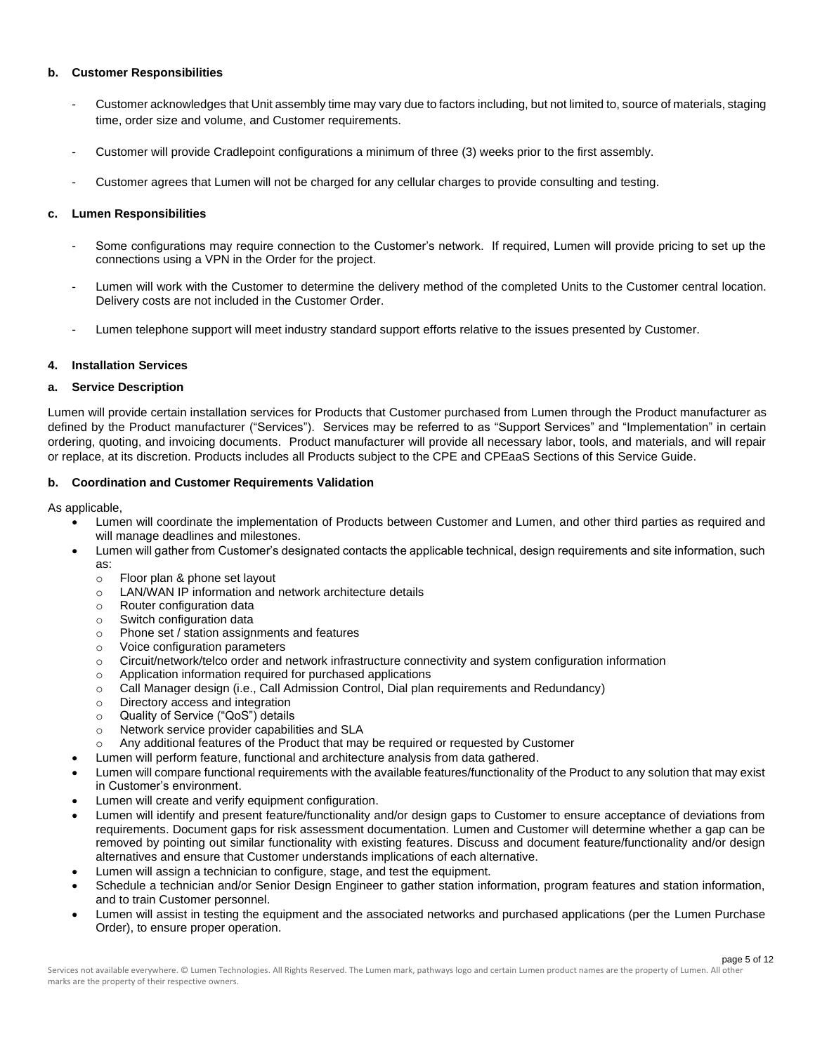#### **b. Customer Responsibilities**

- Customer acknowledges that Unit assembly time may vary due to factors including, but not limited to, source of materials, staging time, order size and volume, and Customer requirements.
- Customer will provide Cradlepoint configurations a minimum of three (3) weeks prior to the first assembly.
- Customer agrees that Lumen will not be charged for any cellular charges to provide consulting and testing.

## **c. Lumen Responsibilities**

- Some configurations may require connection to the Customer's network. If required, Lumen will provide pricing to set up the connections using a VPN in the Order for the project.
- Lumen will work with the Customer to determine the delivery method of the completed Units to the Customer central location. Delivery costs are not included in the Customer Order.
- Lumen telephone support will meet industry standard support efforts relative to the issues presented by Customer.

#### **4. Installation Services**

#### **a. Service Description**

Lumen will provide certain installation services for Products that Customer purchased from Lumen through the Product manufacturer as defined by the Product manufacturer ("Services"). Services may be referred to as "Support Services" and "Implementation" in certain ordering, quoting, and invoicing documents. Product manufacturer will provide all necessary labor, tools, and materials, and will repair or replace, at its discretion. Products includes all Products subject to the CPE and CPEaaS Sections of this Service Guide.

# **b. Coordination and Customer Requirements Validation**

As applicable,

- Lumen will coordinate the implementation of Products between Customer and Lumen, and other third parties as required and will manage deadlines and milestones.
- Lumen will gather from Customer's designated contacts the applicable technical, design requirements and site information, such as:
	- o Floor plan & phone set layout
	- o LAN/WAN IP information and network architecture details
	- o Router configuration data
	- o Switch configuration data
	- o Phone set / station assignments and features
	- o Voice configuration parameters
	- o Circuit/network/telco order and network infrastructure connectivity and system configuration information
	- o Application information required for purchased applications
	- o Call Manager design (i.e., Call Admission Control, Dial plan requirements and Redundancy)
	- o Directory access and integration
	- o Quality of Service ("QoS") details
	- o Network service provider capabilities and SLA
	- o Any additional features of the Product that may be required or requested by Customer
	- Lumen will perform feature, functional and architecture analysis from data gathered.
- Lumen will compare functional requirements with the available features/functionality of the Product to any solution that may exist in Customer's environment.
- Lumen will create and verify equipment configuration.
- Lumen will identify and present feature/functionality and/or design gaps to Customer to ensure acceptance of deviations from requirements. Document gaps for risk assessment documentation. Lumen and Customer will determine whether a gap can be removed by pointing out similar functionality with existing features. Discuss and document feature/functionality and/or design alternatives and ensure that Customer understands implications of each alternative.
- Lumen will assign a technician to configure, stage, and test the equipment.
- Schedule a technician and/or Senior Design Engineer to gather station information, program features and station information, and to train Customer personnel.
- Lumen will assist in testing the equipment and the associated networks and purchased applications (per the Lumen Purchase Order), to ensure proper operation.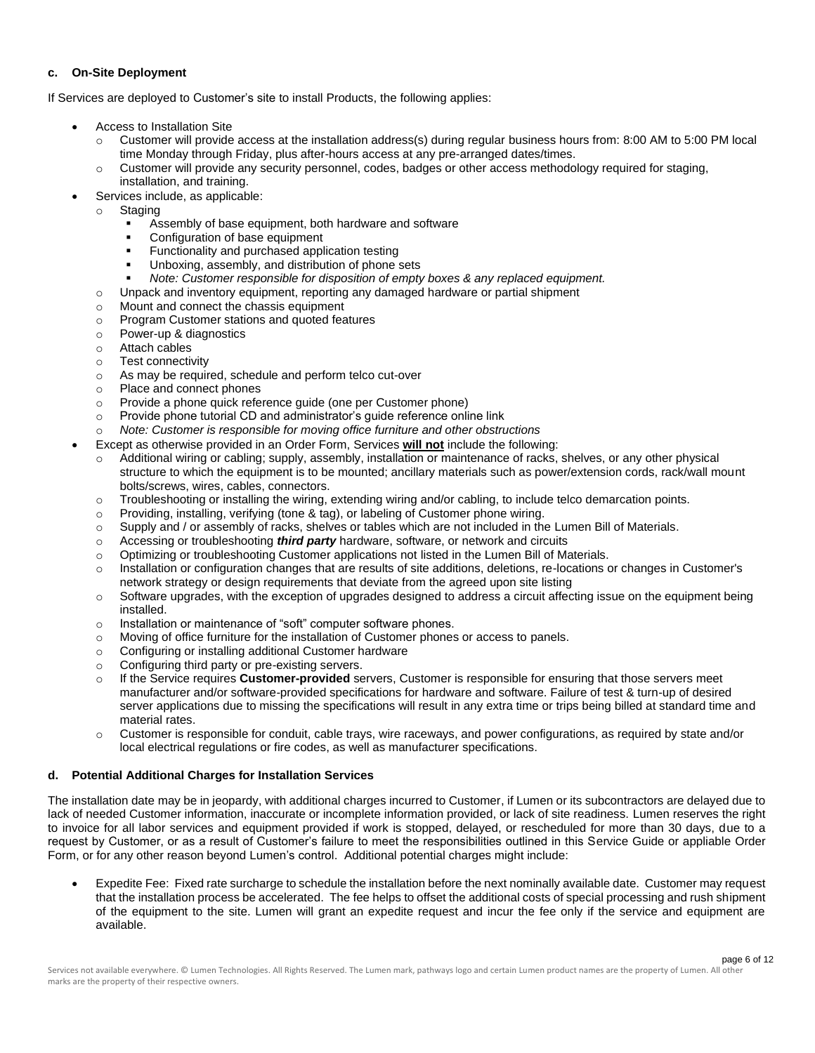# **c. On-Site Deployment**

If Services are deployed to Customer's site to install Products, the following applies:

- Access to Installation Site
	- $\circ$  Customer will provide access at the installation address(s) during regular business hours from: 8:00 AM to 5:00 PM local time Monday through Friday, plus after-hours access at any pre-arranged dates/times.
	- o Customer will provide any security personnel, codes, badges or other access methodology required for staging, installation, and training.
- Services include, as applicable:
- o Staging
	- Assembly of base equipment, both hardware and software
	- Configuration of base equipment
	- Functionality and purchased application testing
	- Unboxing, assembly, and distribution of phone sets
	- Note: Customer responsible for disposition of empty boxes & any replaced equipment.
	- o Unpack and inventory equipment, reporting any damaged hardware or partial shipment
	- o Mount and connect the chassis equipment
	- o Program Customer stations and quoted features
	- o Power-up & diagnostics
	- o Attach cables
	- o Test connectivity
	- o As may be required, schedule and perform telco cut-over
	- o Place and connect phones
	- o Provide a phone quick reference guide (one per Customer phone)
	- o Provide phone tutorial CD and administrator's guide reference online link
- Note: Customer is responsible for moving office furniture and other obstructions
- Except as otherwise provided in an Order Form, Services **will not** include the following:
	- Additional wiring or cabling; supply, assembly, installation or maintenance of racks, shelves, or any other physical structure to which the equipment is to be mounted; ancillary materials such as power/extension cords, rack/wall mount bolts/screws, wires, cables, connectors.
	- o Troubleshooting or installing the wiring, extending wiring and/or cabling, to include telco demarcation points.
	- $\circ$  Providing, installing, verifying (tone & tag), or labeling of Customer phone wiring.
	- o Supply and / or assembly of racks, shelves or tables which are not included in the Lumen Bill of Materials.
	- o Accessing or troubleshooting *third party* hardware, software, or network and circuits
	- o Optimizing or troubleshooting Customer applications not listed in the Lumen Bill of Materials.
	- $\circ$  Installation or configuration changes that are results of site additions, deletions, re-locations or changes in Customer's network strategy or design requirements that deviate from the agreed upon site listing
	- $\circ$  Software upgrades, with the exception of upgrades designed to address a circuit affecting issue on the equipment being installed.
	- o Installation or maintenance of "soft" computer software phones.
	- o Moving of office furniture for the installation of Customer phones or access to panels.
	- o Configuring or installing additional Customer hardware
	- o Configuring third party or pre-existing servers.
	- o If the Service requires **Customer-provided** servers, Customer is responsible for ensuring that those servers meet manufacturer and/or software-provided specifications for hardware and software. Failure of test & turn-up of desired server applications due to missing the specifications will result in any extra time or trips being billed at standard time and material rates.
	- $\circ$  Customer is responsible for conduit, cable trays, wire raceways, and power configurations, as required by state and/or local electrical regulations or fire codes, as well as manufacturer specifications.

# **d. Potential Additional Charges for Installation Services**

The installation date may be in jeopardy, with additional charges incurred to Customer, if Lumen or its subcontractors are delayed due to lack of needed Customer information, inaccurate or incomplete information provided, or lack of site readiness. Lumen reserves the right to invoice for all labor services and equipment provided if work is stopped, delayed, or rescheduled for more than 30 days, due to a request by Customer, or as a result of Customer's failure to meet the responsibilities outlined in this Service Guide or appliable Order Form, or for any other reason beyond Lumen's control. Additional potential charges might include:

• Expedite Fee: Fixed rate surcharge to schedule the installation before the next nominally available date. Customer may request that the installation process be accelerated. The fee helps to offset the additional costs of special processing and rush shipment of the equipment to the site. Lumen will grant an expedite request and incur the fee only if the service and equipment are available.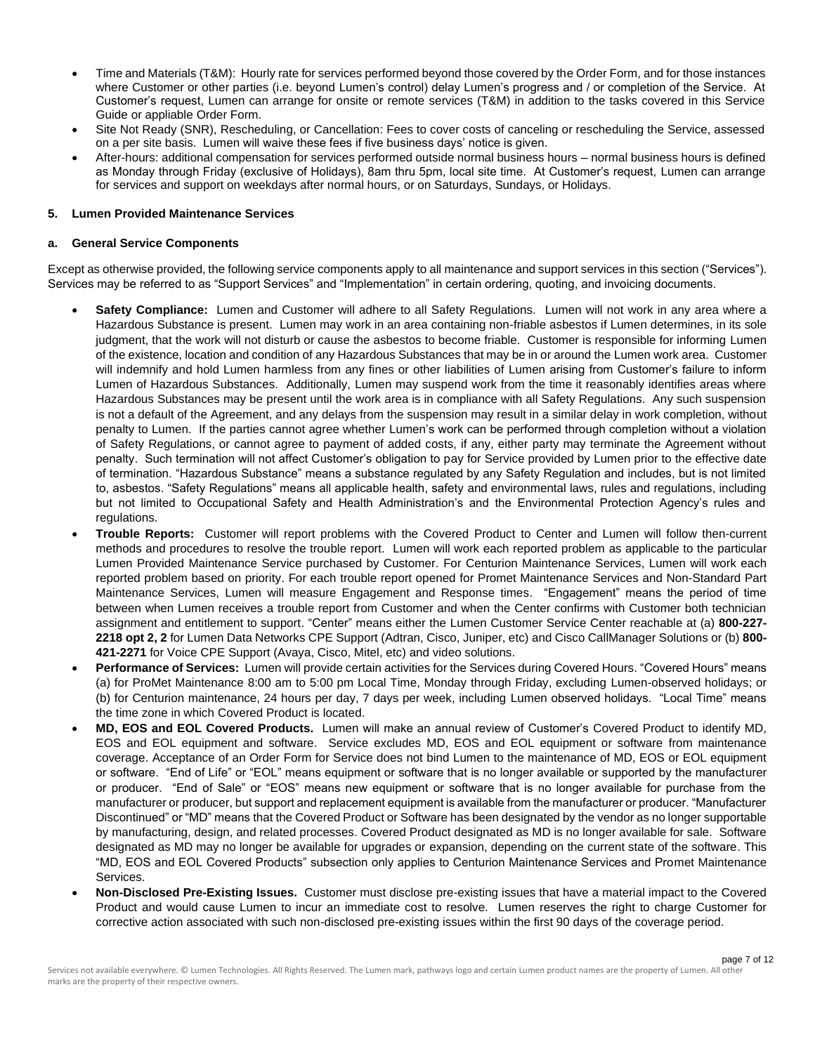- Time and Materials (T&M): Hourly rate for services performed beyond those covered by the Order Form, and for those instances where Customer or other parties (i.e. beyond Lumen's control) delay Lumen's progress and / or completion of the Service. At Customer's request, Lumen can arrange for onsite or remote services (T&M) in addition to the tasks covered in this Service Guide or appliable Order Form.
- Site Not Ready (SNR), Rescheduling, or Cancellation: Fees to cover costs of canceling or rescheduling the Service, assessed on a per site basis. Lumen will waive these fees if five business days' notice is given.
- After-hours: additional compensation for services performed outside normal business hours normal business hours is defined as Monday through Friday (exclusive of Holidays), 8am thru 5pm, local site time. At Customer's request, Lumen can arrange for services and support on weekdays after normal hours, or on Saturdays, Sundays, or Holidays.

#### **5. Lumen Provided Maintenance Services**

#### **a. General Service Components**

Except as otherwise provided, the following service components apply to all maintenance and support services in this section ("Services"). Services may be referred to as "Support Services" and "Implementation" in certain ordering, quoting, and invoicing documents.

- **Safety Compliance:** Lumen and Customer will adhere to all Safety Regulations. Lumen will not work in any area where a Hazardous Substance is present. Lumen may work in an area containing non-friable asbestos if Lumen determines, in its sole judgment, that the work will not disturb or cause the asbestos to become friable. Customer is responsible for informing Lumen of the existence, location and condition of any Hazardous Substances that may be in or around the Lumen work area. Customer will indemnify and hold Lumen harmless from any fines or other liabilities of Lumen arising from Customer's failure to inform Lumen of Hazardous Substances. Additionally, Lumen may suspend work from the time it reasonably identifies areas where Hazardous Substances may be present until the work area is in compliance with all Safety Regulations. Any such suspension is not a default of the Agreement, and any delays from the suspension may result in a similar delay in work completion, without penalty to Lumen. If the parties cannot agree whether Lumen's work can be performed through completion without a violation of Safety Regulations, or cannot agree to payment of added costs, if any, either party may terminate the Agreement without penalty. Such termination will not affect Customer's obligation to pay for Service provided by Lumen prior to the effective date of termination. "Hazardous Substance" means a substance regulated by any Safety Regulation and includes, but is not limited to, asbestos. "Safety Regulations" means all applicable health, safety and environmental laws, rules and regulations, including but not limited to Occupational Safety and Health Administration's and the Environmental Protection Agency's rules and regulations.
- **Trouble Reports:** Customer will report problems with the Covered Product to Center and Lumen will follow then-current methods and procedures to resolve the trouble report. Lumen will work each reported problem as applicable to the particular Lumen Provided Maintenance Service purchased by Customer. For Centurion Maintenance Services, Lumen will work each reported problem based on priority. For each trouble report opened for Promet Maintenance Services and Non-Standard Part Maintenance Services, Lumen will measure Engagement and Response times. "Engagement" means the period of time between when Lumen receives a trouble report from Customer and when the Center confirms with Customer both technician assignment and entitlement to support. "Center" means either the Lumen Customer Service Center reachable at (a) **800-227- 2218 opt 2, 2** for Lumen Data Networks CPE Support (Adtran, Cisco, Juniper, etc) and Cisco CallManager Solutions or (b) **800- 421-2271** for Voice CPE Support (Avaya, Cisco, Mitel, etc) and video solutions.
- **Performance of Services:** Lumen will provide certain activities for the Services during Covered Hours. "Covered Hours" means (a) for ProMet Maintenance 8:00 am to 5:00 pm Local Time, Monday through Friday, excluding Lumen-observed holidays; or (b) for Centurion maintenance, 24 hours per day, 7 days per week, including Lumen observed holidays. "Local Time" means the time zone in which Covered Product is located.
- **MD, EOS and EOL Covered Products.** Lumen will make an annual review of Customer's Covered Product to identify MD, EOS and EOL equipment and software. Service excludes MD, EOS and EOL equipment or software from maintenance coverage. Acceptance of an Order Form for Service does not bind Lumen to the maintenance of MD, EOS or EOL equipment or software. "End of Life" or "EOL" means equipment or software that is no longer available or supported by the manufacturer or producer. "End of Sale" or "EOS" means new equipment or software that is no longer available for purchase from the manufacturer or producer, but support and replacement equipment is available from the manufacturer or producer. "Manufacturer Discontinued" or "MD" means that the Covered Product or Software has been designated by the vendor as no longer supportable by manufacturing, design, and related processes. Covered Product designated as MD is no longer available for sale. Software designated as MD may no longer be available for upgrades or expansion, depending on the current state of the software. This "MD, EOS and EOL Covered Products" subsection only applies to Centurion Maintenance Services and Promet Maintenance Services.
- **Non-Disclosed Pre-Existing Issues.** Customer must disclose pre-existing issues that have a material impact to the Covered Product and would cause Lumen to incur an immediate cost to resolve. Lumen reserves the right to charge Customer for corrective action associated with such non-disclosed pre-existing issues within the first 90 days of the coverage period.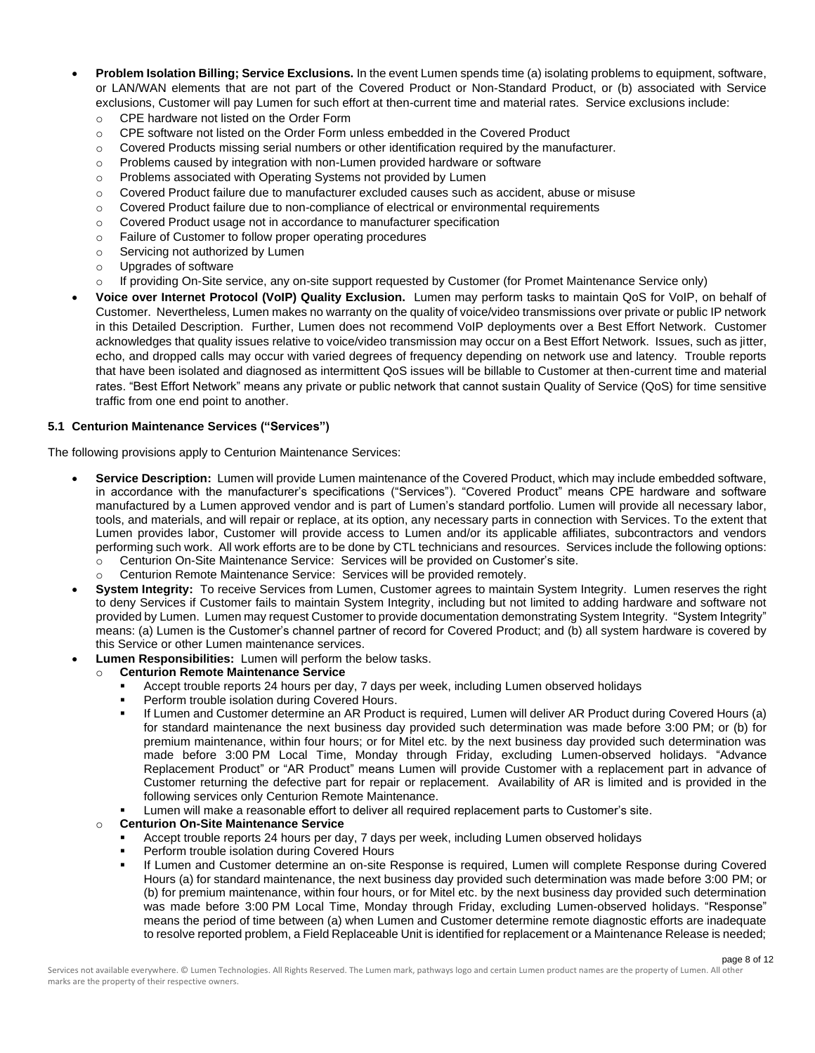- **Problem Isolation Billing; Service Exclusions.** In the event Lumen spends time (a) isolating problems to equipment, software, or LAN/WAN elements that are not part of the Covered Product or Non-Standard Product, or (b) associated with Service exclusions, Customer will pay Lumen for such effort at then-current time and material rates. Service exclusions include:
	- o CPE hardware not listed on the Order Form
	- o CPE software not listed on the Order Form unless embedded in the Covered Product
	- $\circ$  Covered Products missing serial numbers or other identification required by the manufacturer.
	- $\circ$  Problems caused by integration with non-Lumen provided hardware or software
	- o Problems associated with Operating Systems not provided by Lumen
	- $\circ$  Covered Product failure due to manufacturer excluded causes such as accident, abuse or misuse
	- o Covered Product failure due to non-compliance of electrical or environmental requirements
	- o Covered Product usage not in accordance to manufacturer specification
	- o Failure of Customer to follow proper operating procedures
	- o Servicing not authorized by Lumen
	- o Upgrades of software
	- o If providing On-Site service, any on-site support requested by Customer (for Promet Maintenance Service only)
- **Voice over Internet Protocol (VoIP) Quality Exclusion.** Lumen may perform tasks to maintain QoS for VoIP, on behalf of Customer. Nevertheless, Lumen makes no warranty on the quality of voice/video transmissions over private or public IP network in this Detailed Description. Further, Lumen does not recommend VoIP deployments over a Best Effort Network. Customer acknowledges that quality issues relative to voice/video transmission may occur on a Best Effort Network. Issues, such as jitter, echo, and dropped calls may occur with varied degrees of frequency depending on network use and latency. Trouble reports that have been isolated and diagnosed as intermittent QoS issues will be billable to Customer at then-current time and material rates. "Best Effort Network" means any private or public network that cannot sustain Quality of Service (QoS) for time sensitive traffic from one end point to another.

# **5.1 Centurion Maintenance Services ("Services")**

The following provisions apply to Centurion Maintenance Services:

- **Service Description:** Lumen will provide Lumen maintenance of the Covered Product, which may include embedded software, in accordance with the manufacturer's specifications ("Services"). "Covered Product" means CPE hardware and software manufactured by a Lumen approved vendor and is part of Lumen's standard portfolio. Lumen will provide all necessary labor, tools, and materials, and will repair or replace, at its option, any necessary parts in connection with Services. To the extent that Lumen provides labor, Customer will provide access to Lumen and/or its applicable affiliates, subcontractors and vendors performing such work. All work efforts are to be done by CTL technicians and resources. Services include the following options:
	- o Centurion On-Site Maintenance Service: Services will be provided on Customer's site.
	- Centurion Remote Maintenance Service: Services will be provided remotely.
- **System Integrity:** To receive Services from Lumen, Customer agrees to maintain System Integrity. Lumen reserves the right to deny Services if Customer fails to maintain System Integrity, including but not limited to adding hardware and software not provided by Lumen. Lumen may request Customer to provide documentation demonstrating System Integrity. "System Integrity" means: (a) Lumen is the Customer's channel partner of record for Covered Product; and (b) all system hardware is covered by this Service or other Lumen maintenance services.
- **Lumen Responsibilities:** Lumen will perform the below tasks.

#### o **Centurion Remote Maintenance Service**

- Accept trouble reports 24 hours per day, 7 days per week, including Lumen observed holidays
- Perform trouble isolation during Covered Hours.
- If Lumen and Customer determine an AR Product is required, Lumen will deliver AR Product during Covered Hours (a) for standard maintenance the next business day provided such determination was made before 3:00 PM; or (b) for premium maintenance, within four hours; or for Mitel etc. by the next business day provided such determination was made before 3:00 PM Local Time, Monday through Friday, excluding Lumen-observed holidays. "Advance Replacement Product" or "AR Product" means Lumen will provide Customer with a replacement part in advance of Customer returning the defective part for repair or replacement. Availability of AR is limited and is provided in the following services only Centurion Remote Maintenance.
- Lumen will make a reasonable effort to deliver all required replacement parts to Customer's site.

#### o **Centurion On-Site Maintenance Service**

- Accept trouble reports 24 hours per day, 7 days per week, including Lumen observed holidays
- Perform trouble isolation during Covered Hours
- If Lumen and Customer determine an on-site Response is required, Lumen will complete Response during Covered Hours (a) for standard maintenance, the next business day provided such determination was made before 3:00 PM; or (b) for premium maintenance, within four hours, or for Mitel etc. by the next business day provided such determination was made before 3:00 PM Local Time, Monday through Friday, excluding Lumen-observed holidays. "Response" means the period of time between (a) when Lumen and Customer determine remote diagnostic efforts are inadequate to resolve reported problem, a Field Replaceable Unit is identified for replacement or a Maintenance Release is needed;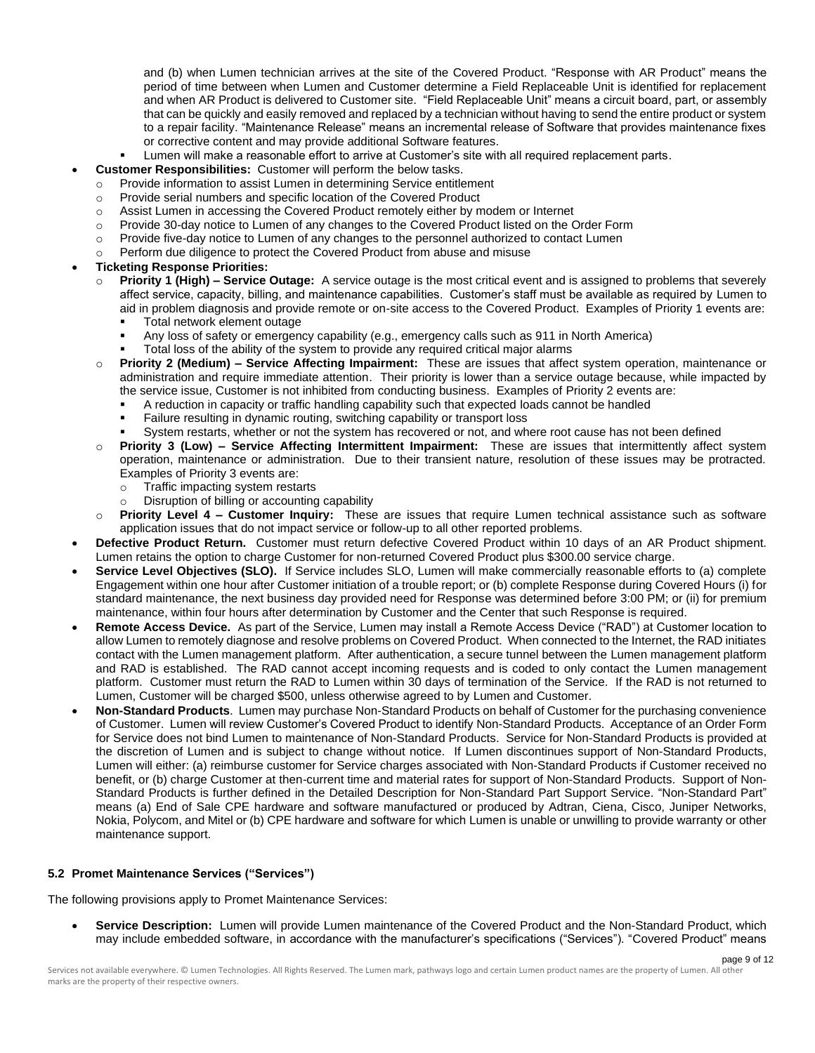and (b) when Lumen technician arrives at the site of the Covered Product. "Response with AR Product" means the period of time between when Lumen and Customer determine a Field Replaceable Unit is identified for replacement and when AR Product is delivered to Customer site. "Field Replaceable Unit" means a circuit board, part, or assembly that can be quickly and easily removed and replaced by a technician without having to send the entire product or system to a repair facility. "Maintenance Release" means an incremental release of Software that provides maintenance fixes or corrective content and may provide additional Software features.

- Lumen will make a reasonable effort to arrive at Customer's site with all required replacement parts.
- **Customer Responsibilities:** Customer will perform the below tasks.
	- o Provide information to assist Lumen in determining Service entitlement
	- o Provide serial numbers and specific location of the Covered Product
	- o Assist Lumen in accessing the Covered Product remotely either by modem or Internet
	- o Provide 30-day notice to Lumen of any changes to the Covered Product listed on the Order Form
	- $\circ$  Provide five-day notice to Lumen of any changes to the personnel authorized to contact Lumen
	- Perform due diligence to protect the Covered Product from abuse and misuse
- **Ticketing Response Priorities:**
	- o **Priority 1 (High) – Service Outage:** A service outage is the most critical event and is assigned to problems that severely affect service, capacity, billing, and maintenance capabilities. Customer's staff must be available as required by Lumen to aid in problem diagnosis and provide remote or on-site access to the Covered Product. Examples of Priority 1 events are:
		- Total network element outage
		- Any loss of safety or emergency capability (e.g., emergency calls such as 911 in North America)
		- Total loss of the ability of the system to provide any required critical major alarms
	- o **Priority 2 (Medium) – Service Affecting Impairment:** These are issues that affect system operation, maintenance or administration and require immediate attention. Their priority is lower than a service outage because, while impacted by the service issue, Customer is not inhibited from conducting business. Examples of Priority 2 events are:
		- A reduction in capacity or traffic handling capability such that expected loads cannot be handled
		- Failure resulting in dynamic routing, switching capability or transport loss
		- System restarts, whether or not the system has recovered or not, and where root cause has not been defined
	- o **Priority 3 (Low) – Service Affecting Intermittent Impairment:** These are issues that intermittently affect system operation, maintenance or administration. Due to their transient nature, resolution of these issues may be protracted. Examples of Priority 3 events are:
		- o Traffic impacting system restarts
		- Disruption of billing or accounting capability
	- o **Priority Level 4 – Customer Inquiry:** These are issues that require Lumen technical assistance such as software application issues that do not impact service or follow-up to all other reported problems.
- **Defective Product Return.** Customer must return defective Covered Product within 10 days of an AR Product shipment. Lumen retains the option to charge Customer for non-returned Covered Product plus \$300.00 service charge.
- **Service Level Objectives (SLO).** If Service includes SLO, Lumen will make commercially reasonable efforts to (a) complete Engagement within one hour after Customer initiation of a trouble report; or (b) complete Response during Covered Hours (i) for standard maintenance, the next business day provided need for Response was determined before 3:00 PM; or (ii) for premium maintenance, within four hours after determination by Customer and the Center that such Response is required.
- **Remote Access Device.** As part of the Service, Lumen may install a Remote Access Device ("RAD") at Customer location to allow Lumen to remotely diagnose and resolve problems on Covered Product. When connected to the Internet, the RAD initiates contact with the Lumen management platform. After authentication, a secure tunnel between the Lumen management platform and RAD is established. The RAD cannot accept incoming requests and is coded to only contact the Lumen management platform. Customer must return the RAD to Lumen within 30 days of termination of the Service. If the RAD is not returned to Lumen, Customer will be charged \$500, unless otherwise agreed to by Lumen and Customer.
- **Non-Standard Products**. Lumen may purchase Non-Standard Products on behalf of Customer for the purchasing convenience of Customer. Lumen will review Customer's Covered Product to identify Non-Standard Products. Acceptance of an Order Form for Service does not bind Lumen to maintenance of Non-Standard Products. Service for Non-Standard Products is provided at the discretion of Lumen and is subject to change without notice. If Lumen discontinues support of Non-Standard Products, Lumen will either: (a) reimburse customer for Service charges associated with Non-Standard Products if Customer received no benefit, or (b) charge Customer at then-current time and material rates for support of Non-Standard Products. Support of Non-Standard Products is further defined in the Detailed Description for Non-Standard Part Support Service. "Non-Standard Part" means (a) End of Sale CPE hardware and software manufactured or produced by Adtran, Ciena, Cisco, Juniper Networks, Nokia, Polycom, and Mitel or (b) CPE hardware and software for which Lumen is unable or unwilling to provide warranty or other maintenance support.

#### **5.2 Promet Maintenance Services ("Services")**

The following provisions apply to Promet Maintenance Services:

• **Service Description:** Lumen will provide Lumen maintenance of the Covered Product and the Non-Standard Product, which may include embedded software, in accordance with the manufacturer's specifications ("Services"). "Covered Product" means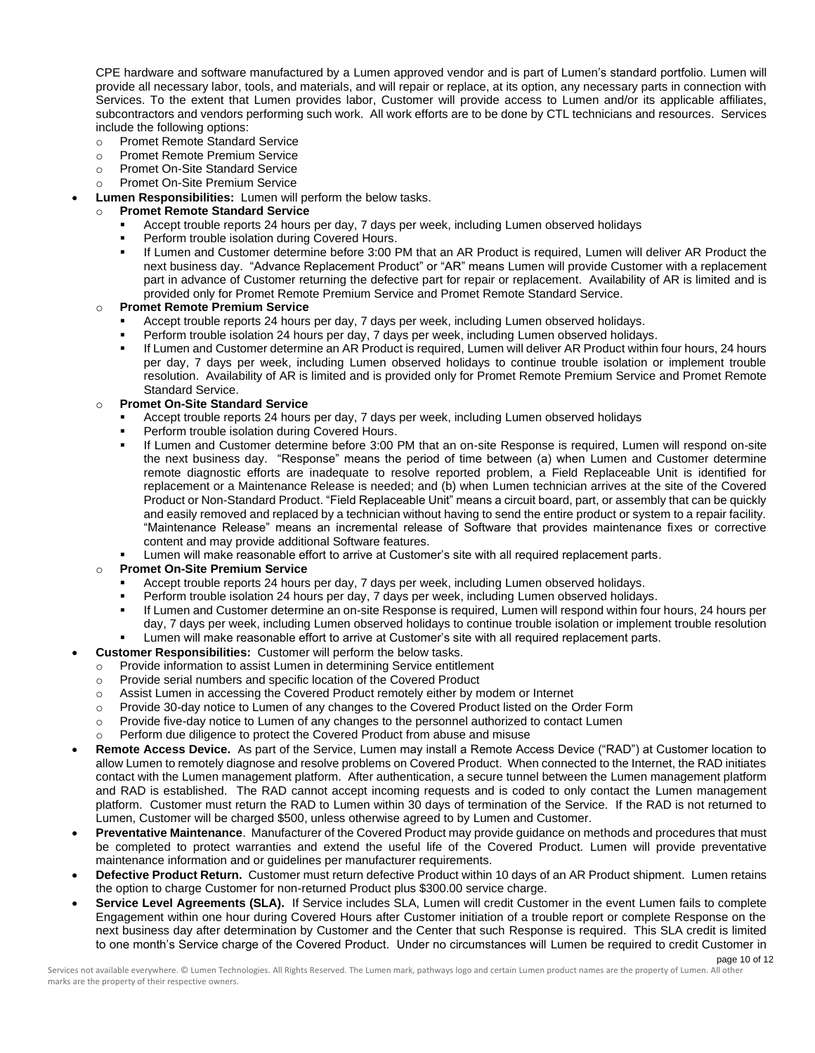CPE hardware and software manufactured by a Lumen approved vendor and is part of Lumen's standard portfolio. Lumen will provide all necessary labor, tools, and materials, and will repair or replace, at its option, any necessary parts in connection with Services. To the extent that Lumen provides labor, Customer will provide access to Lumen and/or its applicable affiliates, subcontractors and vendors performing such work. All work efforts are to be done by CTL technicians and resources. Services include the following options:

- o Promet Remote Standard Service
- o Promet Remote Premium Service
- o Promet On-Site Standard Service
- o Promet On-Site Premium Service
- **Lumen Responsibilities:** Lumen will perform the below tasks.

## o **Promet Remote Standard Service**

- Accept trouble reports 24 hours per day, 7 days per week, including Lumen observed holidays
- Perform trouble isolation during Covered Hours.
- If Lumen and Customer determine before 3:00 PM that an AR Product is required, Lumen will deliver AR Product the next business day. "Advance Replacement Product" or "AR" means Lumen will provide Customer with a replacement part in advance of Customer returning the defective part for repair or replacement. Availability of AR is limited and is provided only for Promet Remote Premium Service and Promet Remote Standard Service.

# o **Promet Remote Premium Service**

- Accept trouble reports 24 hours per day, 7 days per week, including Lumen observed holidays.
- Perform trouble isolation 24 hours per day, 7 days per week, including Lumen observed holidays.
- If Lumen and Customer determine an AR Product is required, Lumen will deliver AR Product within four hours, 24 hours per day, 7 days per week, including Lumen observed holidays to continue trouble isolation or implement trouble resolution. Availability of AR is limited and is provided only for Promet Remote Premium Service and Promet Remote Standard Service.

# o **Promet On-Site Standard Service**

- Accept trouble reports 24 hours per day, 7 days per week, including Lumen observed holidays
- Perform trouble isolation during Covered Hours.
- If Lumen and Customer determine before 3:00 PM that an on-site Response is required, Lumen will respond on-site the next business day. "Response" means the period of time between (a) when Lumen and Customer determine remote diagnostic efforts are inadequate to resolve reported problem, a Field Replaceable Unit is identified for replacement or a Maintenance Release is needed; and (b) when Lumen technician arrives at the site of the Covered Product or Non-Standard Product. "Field Replaceable Unit" means a circuit board, part, or assembly that can be quickly and easily removed and replaced by a technician without having to send the entire product or system to a repair facility. "Maintenance Release" means an incremental release of Software that provides maintenance fixes or corrective content and may provide additional Software features.
- Lumen will make reasonable effort to arrive at Customer's site with all required replacement parts.

# o **Promet On-Site Premium Service**

- Accept trouble reports 24 hours per day, 7 days per week, including Lumen observed holidays.
- Perform trouble isolation 24 hours per day, 7 days per week, including Lumen observed holidays.
- If Lumen and Customer determine an on-site Response is required, Lumen will respond within four hours, 24 hours per day, 7 days per week, including Lumen observed holidays to continue trouble isolation or implement trouble resolution Lumen will make reasonable effort to arrive at Customer's site with all required replacement parts.
- **Customer Responsibilities:** Customer will perform the below tasks.
- o Provide information to assist Lumen in determining Service entitlement
- o Provide serial numbers and specific location of the Covered Product
- o Assist Lumen in accessing the Covered Product remotely either by modem or Internet
- o Provide 30-day notice to Lumen of any changes to the Covered Product listed on the Order Form
- o Provide five-day notice to Lumen of any changes to the personnel authorized to contact Lumen
- Perform due diligence to protect the Covered Product from abuse and misuse
- **Remote Access Device.** As part of the Service, Lumen may install a Remote Access Device ("RAD") at Customer location to allow Lumen to remotely diagnose and resolve problems on Covered Product. When connected to the Internet, the RAD initiates contact with the Lumen management platform. After authentication, a secure tunnel between the Lumen management platform and RAD is established. The RAD cannot accept incoming requests and is coded to only contact the Lumen management platform. Customer must return the RAD to Lumen within 30 days of termination of the Service. If the RAD is not returned to Lumen, Customer will be charged \$500, unless otherwise agreed to by Lumen and Customer.
- **Preventative Maintenance**. Manufacturer of the Covered Product may provide guidance on methods and procedures that must be completed to protect warranties and extend the useful life of the Covered Product. Lumen will provide preventative maintenance information and or guidelines per manufacturer requirements.
- **Defective Product Return.** Customer must return defective Product within 10 days of an AR Product shipment. Lumen retains the option to charge Customer for non-returned Product plus \$300.00 service charge.
- **Service Level Agreements (SLA).** If Service includes SLA, Lumen will credit Customer in the event Lumen fails to complete Engagement within one hour during Covered Hours after Customer initiation of a trouble report or complete Response on the next business day after determination by Customer and the Center that such Response is required. This SLA credit is limited to one month's Service charge of the Covered Product. Under no circumstances will Lumen be required to credit Customer in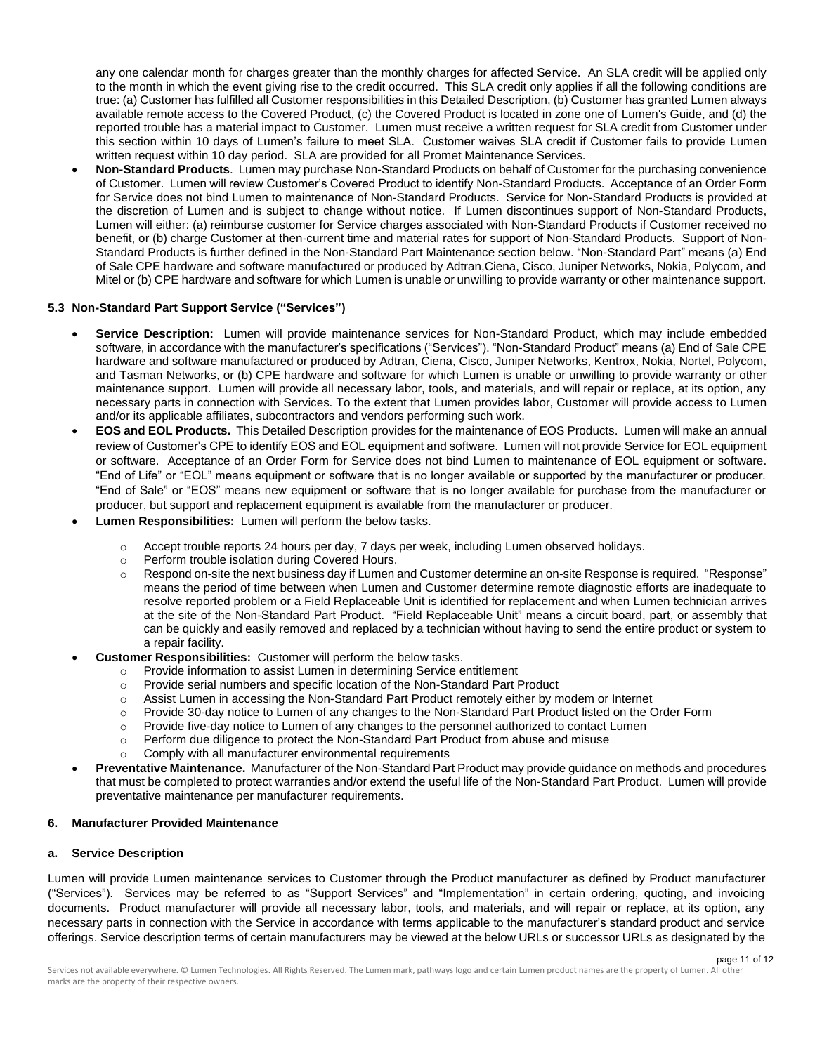any one calendar month for charges greater than the monthly charges for affected Service. An SLA credit will be applied only to the month in which the event giving rise to the credit occurred. This SLA credit only applies if all the following conditions are true: (a) Customer has fulfilled all Customer responsibilities in this Detailed Description, (b) Customer has granted Lumen always available remote access to the Covered Product, (c) the Covered Product is located in zone one of Lumen's Guide, and (d) the reported trouble has a material impact to Customer. Lumen must receive a written request for SLA credit from Customer under this section within 10 days of Lumen's failure to meet SLA. Customer waives SLA credit if Customer fails to provide Lumen written request within 10 day period. SLA are provided for all Promet Maintenance Services.

• **Non-Standard Products**. Lumen may purchase Non-Standard Products on behalf of Customer for the purchasing convenience of Customer. Lumen will review Customer's Covered Product to identify Non-Standard Products. Acceptance of an Order Form for Service does not bind Lumen to maintenance of Non-Standard Products. Service for Non-Standard Products is provided at the discretion of Lumen and is subject to change without notice. If Lumen discontinues support of Non-Standard Products, Lumen will either: (a) reimburse customer for Service charges associated with Non-Standard Products if Customer received no benefit, or (b) charge Customer at then-current time and material rates for support of Non-Standard Products. Support of Non-Standard Products is further defined in the Non-Standard Part Maintenance section below. "Non-Standard Part" means (a) End of Sale CPE hardware and software manufactured or produced by Adtran,Ciena, Cisco, Juniper Networks, Nokia, Polycom, and Mitel or (b) CPE hardware and software for which Lumen is unable or unwilling to provide warranty or other maintenance support.

# **5.3 Non-Standard Part Support Service ("Services")**

- **Service Description:** Lumen will provide maintenance services for Non-Standard Product, which may include embedded software, in accordance with the manufacturer's specifications ("Services"). "Non-Standard Product" means (a) End of Sale CPE hardware and software manufactured or produced by Adtran, Ciena, Cisco, Juniper Networks, Kentrox, Nokia, Nortel, Polycom, and Tasman Networks, or (b) CPE hardware and software for which Lumen is unable or unwilling to provide warranty or other maintenance support. Lumen will provide all necessary labor, tools, and materials, and will repair or replace, at its option, any necessary parts in connection with Services. To the extent that Lumen provides labor, Customer will provide access to Lumen and/or its applicable affiliates, subcontractors and vendors performing such work.
- **EOS and EOL Products.** This Detailed Description provides for the maintenance of EOS Products. Lumen will make an annual review of Customer's CPE to identify EOS and EOL equipment and software. Lumen will not provide Service for EOL equipment or software. Acceptance of an Order Form for Service does not bind Lumen to maintenance of EOL equipment or software. "End of Life" or "EOL" means equipment or software that is no longer available or supported by the manufacturer or producer. "End of Sale" or "EOS" means new equipment or software that is no longer available for purchase from the manufacturer or producer, but support and replacement equipment is available from the manufacturer or producer.
- **Lumen Responsibilities:** Lumen will perform the below tasks.
	- $\circ$  Accept trouble reports 24 hours per day, 7 days per week, including Lumen observed holidays.
	- o Perform trouble isolation during Covered Hours.
	- o Respond on-site the next business day if Lumen and Customer determine an on-site Response is required. "Response" means the period of time between when Lumen and Customer determine remote diagnostic efforts are inadequate to resolve reported problem or a Field Replaceable Unit is identified for replacement and when Lumen technician arrives at the site of the Non-Standard Part Product. "Field Replaceable Unit" means a circuit board, part, or assembly that can be quickly and easily removed and replaced by a technician without having to send the entire product or system to a repair facility.
- **Customer Responsibilities:** Customer will perform the below tasks.
	- o Provide information to assist Lumen in determining Service entitlement
	- o Provide serial numbers and specific location of the Non-Standard Part Product
	- $\circ$  Assist Lumen in accessing the Non-Standard Part Product remotely either by modem or Internet
	- o Provide 30-day notice to Lumen of any changes to the Non-Standard Part Product listed on the Order Form
	- $\circ$  Provide five-day notice to Lumen of any changes to the personnel authorized to contact Lumen
	- o Perform due diligence to protect the Non-Standard Part Product from abuse and misuse
	- Comply with all manufacturer environmental requirements
- **Preventative Maintenance.** Manufacturer of the Non-Standard Part Product may provide guidance on methods and procedures that must be completed to protect warranties and/or extend the useful life of the Non-Standard Part Product. Lumen will provide preventative maintenance per manufacturer requirements.

## **6. Manufacturer Provided Maintenance**

#### **a. Service Description**

Lumen will provide Lumen maintenance services to Customer through the Product manufacturer as defined by Product manufacturer ("Services"). Services may be referred to as "Support Services" and "Implementation" in certain ordering, quoting, and invoicing documents. Product manufacturer will provide all necessary labor, tools, and materials, and will repair or replace, at its option, any necessary parts in connection with the Service in accordance with terms applicable to the manufacturer's standard product and service offerings. Service description terms of certain manufacturers may be viewed at the below URLs or successor URLs as designated by the